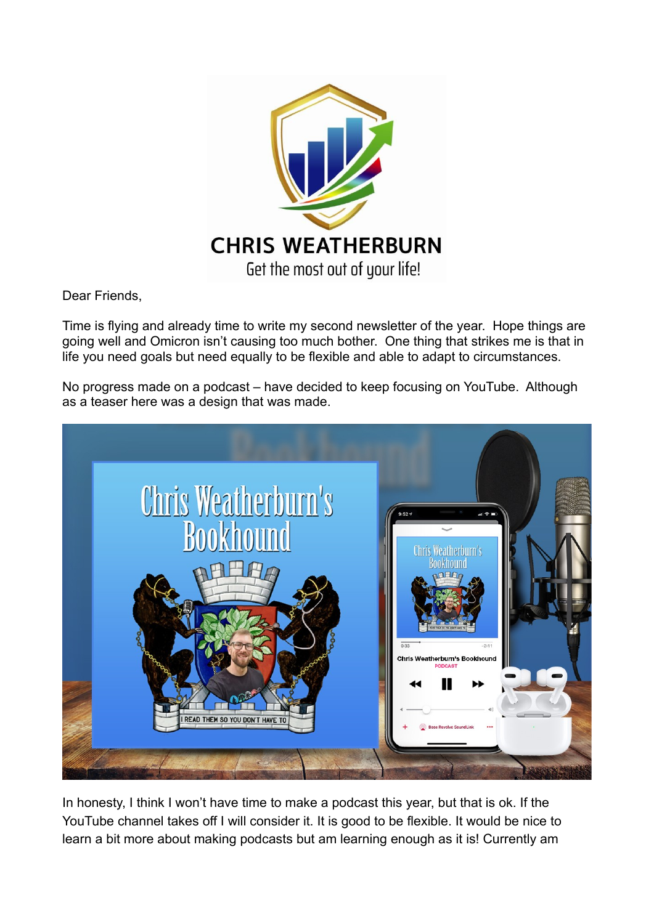

Dear Friends,

Time is flying and already time to write my second newsletter of the year. Hope things are going well and Omicron isn't causing too much bother. One thing that strikes me is that in life you need goals but need equally to be flexible and able to adapt to circumstances.

No progress made on a podcast – have decided to keep focusing on YouTube. Although as a teaser here was a design that was made.



In honesty, I think I won't have time to make a podcast this year, but that is ok. If the YouTube channel takes off I will consider it. It is good to be flexible. It would be nice to learn a bit more about making podcasts but am learning enough as it is! Currently am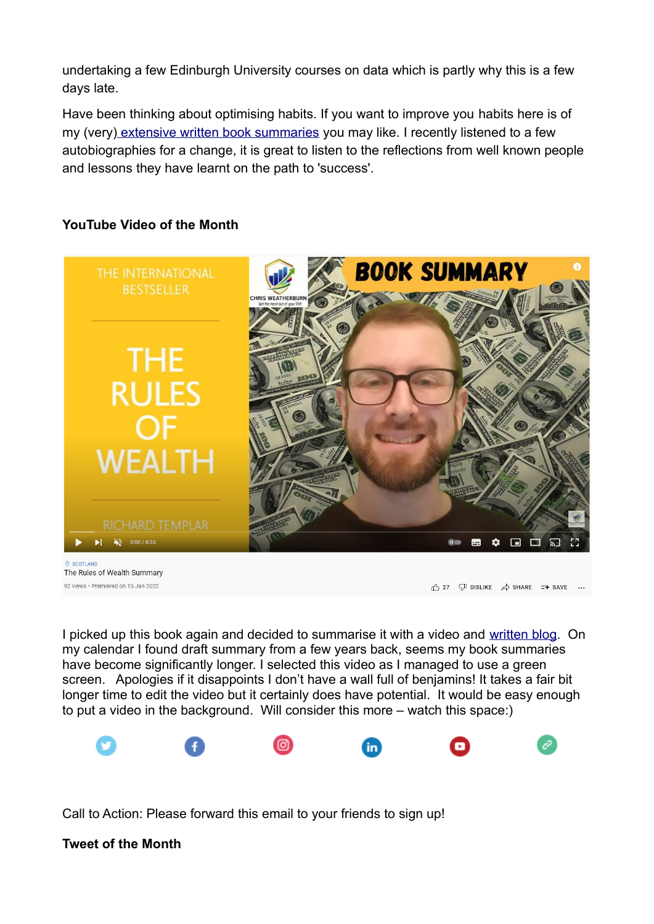undertaking a few Edinburgh University courses on data which is partly why this is a few days late.

Have been thinking about optimising habits. If you want to improve you habits here is of my (very) [extensive written book summaries](https://chrisweatherburn.com/smart-change-five-tools-to-create-new-and-sustainable-habits-in-yourself-and-others-by-art-markman/) you may like. I recently listened to a few autobiographies for a change, it is great to listen to the reflections from well known people and lessons they have learnt on the path to 'success'.

# **YouTube Video of the Month**



The Rules of Wealth Summary 92 views · Premiered on 15, Jan 2022

 $\bigoplus$  27  $\bigoplus$  DISLIKE  $\bigtriangleup$  SHARE  $\equiv$  + SAVE ...

I picked up this book again and decided to summarise it with a video and [written blog](https://chrisweatherburn.com/the-rules-of-wealth-a-personal-code-for-prosperity-by-richard-templar/). On my calendar I found draft summary from a few years back, seems my book summaries have become significantly longer. I selected this video as I managed to use a green screen. Apologies if it disappoints I don't have a wall full of benjamins! It takes a fair bit longer time to edit the video but it certainly does have potential. It would be easy enough to put a video in the background. Will consider this more – watch this space:)



Call to Action: Please forward this email to your friends to sign up!

# **Tweet of the Month**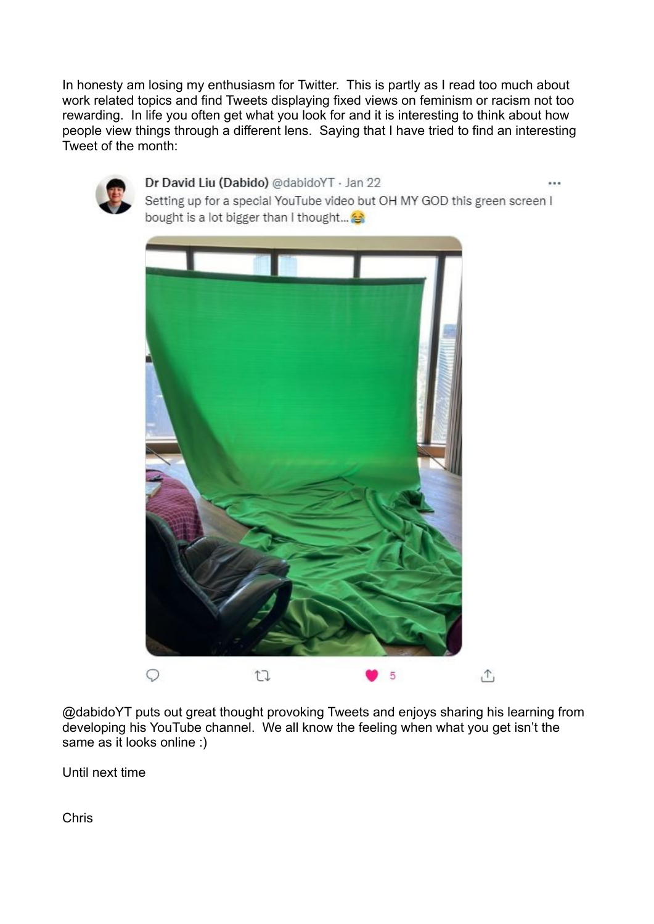In honesty am losing my enthusiasm for Twitter. This is partly as I read too much about work related topics and find Tweets displaying fixed views on feminism or racism not too rewarding. In life you often get what you look for and it is interesting to think about how people view things through a different lens. Saying that I have tried to find an interesting Tweet of the month:



### Dr David Liu (Dabido) @dabidoYT · Jan 22

Setting up for a special YouTube video but OH MY GOD this green screen I bought is a lot bigger than I thought...



@dabidoYT puts out great thought provoking Tweets and enjoys sharing his learning from developing his YouTube channel. We all know the feeling when what you get isn't the same as it looks online :)

Until next time

Chris